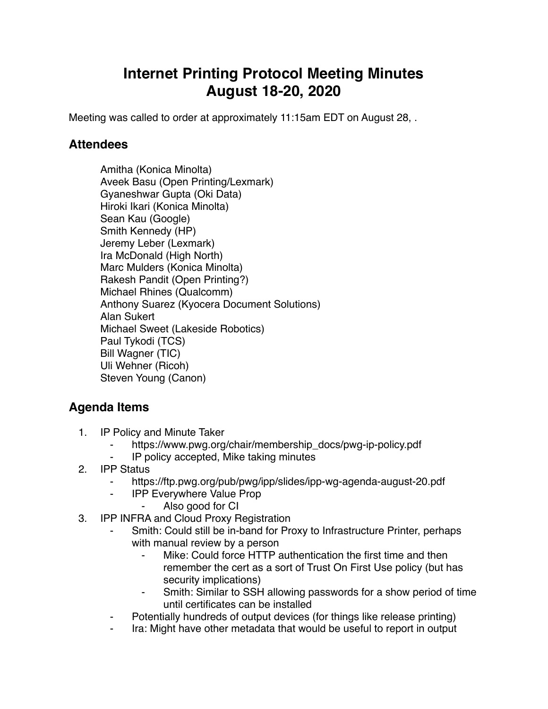## **Internet Printing Protocol Meeting Minutes August 18-20, 2020**

Meeting was called to order at approximately 11:15am EDT on August 28, .

## **Attendees**

Amitha (Konica Minolta) Aveek Basu (Open Printing/Lexmark) Gyaneshwar Gupta (Oki Data) Hiroki Ikari (Konica Minolta) Sean Kau (Google) Smith Kennedy (HP) Jeremy Leber (Lexmark) Ira McDonald (High North) Marc Mulders (Konica Minolta) Rakesh Pandit (Open Printing?) Michael Rhines (Qualcomm) Anthony Suarez (Kyocera Document Solutions) Alan Sukert Michael Sweet (Lakeside Robotics) Paul Tykodi (TCS) Bill Wagner (TIC) Uli Wehner (Ricoh) Steven Young (Canon)

## **Agenda Items**

- 1. IP Policy and Minute Taker
	- https://www.pwg.org/chair/membership\_docs/pwg-ip-policy.pdf
	- ⁃ IP policy accepted, Mike taking minutes
- 2. IPP Status
	- https://ftp.pwg.org/pub/pwg/ipp/slides/ipp-wg-agenda-august-20.pdf
	- ⁃ IPP Everywhere Value Prop
		- ⁃ Also good for CI
- 3. IPP INFRA and Cloud Proxy Registration
	- Smith: Could still be in-band for Proxy to Infrastructure Printer, perhaps with manual review by a person
		- Mike: Could force HTTP authentication the first time and then remember the cert as a sort of Trust On First Use policy (but has security implications)
		- Smith: Similar to SSH allowing passwords for a show period of time until certificates can be installed
	- Potentially hundreds of output devices (for things like release printing)
	- Ira: Might have other metadata that would be useful to report in output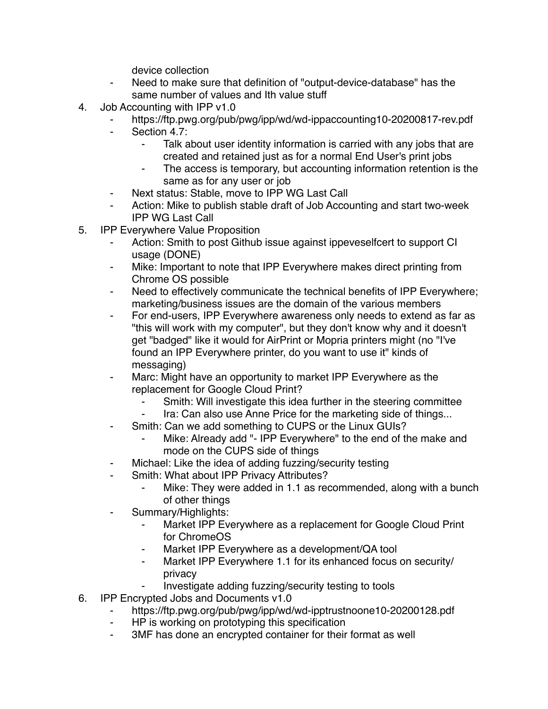device collection

- Need to make sure that definition of "output-device-database" has the same number of values and Ith value stuff
- 4. Job Accounting with IPP v1.0
	- https://ftp.pwg.org/pub/pwg/ipp/wd/wd-ippaccounting10-20200817-rev.pdf
	- Section 4.7:
		- ⁃ Talk about user identity information is carried with any jobs that are created and retained just as for a normal End User's print jobs
		- The access is temporary, but accounting information retention is the same as for any user or job
	- Next status: Stable, move to IPP WG Last Call
	- ⁃ Action: Mike to publish stable draft of Job Accounting and start two-week IPP WG Last Call
- 5. IPP Everywhere Value Proposition
	- Action: Smith to post Github issue against ippeveselfcert to support CI usage (DONE)
	- ⁃ Mike: Important to note that IPP Everywhere makes direct printing from Chrome OS possible
	- Need to effectively communicate the technical benefits of IPP Everywhere; marketing/business issues are the domain of the various members
	- For end-users, IPP Everywhere awareness only needs to extend as far as "this will work with my computer", but they don't know why and it doesn't get "badged" like it would for AirPrint or Mopria printers might (no "I've found an IPP Everywhere printer, do you want to use it" kinds of messaging)
	- Marc: Might have an opportunity to market IPP Everywhere as the replacement for Google Cloud Print?
		- Smith: Will investigate this idea further in the steering committee
		- Ira: Can also use Anne Price for the marketing side of things...
		- Smith: Can we add something to CUPS or the Linux GUIs?
			- Mike: Already add "- IPP Everywhere" to the end of the make and mode on the CUPS side of things
	- Michael: Like the idea of adding fuzzing/security testing
	- Smith: What about IPP Privacy Attributes?
		- Mike: They were added in 1.1 as recommended, along with a bunch of other things
	- Summary/Highlights:
		- ⁃ Market IPP Everywhere as a replacement for Google Cloud Print for ChromeOS
		- Market IPP Everywhere as a development/QA tool
		- Market IPP Everywhere 1.1 for its enhanced focus on security/ privacy
			- Investigate adding fuzzing/security testing to tools
- 6. IPP Encrypted Jobs and Documents v1.0
	- https://ftp.pwg.org/pub/pwg/ipp/wd/wd-ipptrustnoone10-20200128.pdf
	- HP is working on prototyping this specification
	- ⁃ 3MF has done an encrypted container for their format as well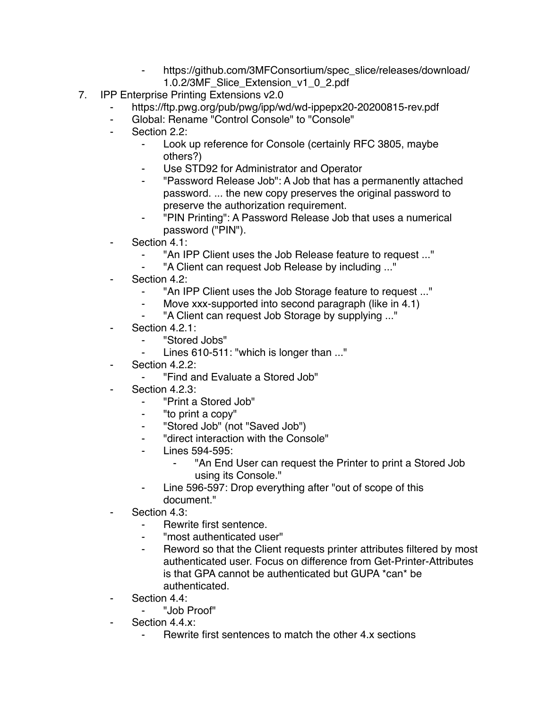- https://github.com/3MFConsortium/spec\_slice/releases/download/ 1.0.2/3MF\_Slice\_Extension\_v1\_0\_2.pdf
- 7. IPP Enterprise Printing Extensions v2.0
	- ⁃ https://ftp.pwg.org/pub/pwg/ipp/wd/wd-ippepx20-20200815-rev.pdf
	- ⁃ Global: Rename "Control Console" to "Console"
	- Section 2.2:
		- ⁃ Look up reference for Console (certainly RFC 3805, maybe others?)
		- Use STD92 for Administrator and Operator
		- "Password Release Job": A Job that has a permanently attached password. ... the new copy preserves the original password to preserve the authorization requirement.
		- ⁃ "PIN Printing": A Password Release Job that uses a numerical password ("PIN").
	- Section 4.1:
		- ⁃ "An IPP Client uses the Job Release feature to request ..."
		- ⁃ "A Client can request Job Release by including ..."
	- Section 4.2:
		- "An IPP Client uses the Job Storage feature to request ..."
		- ⁃ Move xxx-supported into second paragraph (like in 4.1)
		- "A Client can request Job Storage by supplying ..."
	- Section 4.2.1:
		- ⁃ "Stored Jobs"
		- Lines 610-511: "which is longer than ..."
	- Section 4.2.2:
		- ⁃ "Find and Evaluate a Stored Job"
	- Section 4.2.3:
		- ⁃ "Print a Stored Job"
		- "to print a copy"
		- ⁃ "Stored Job" (not "Saved Job")
		- ⁃ "direct interaction with the Console"
		- ⁃ Lines 594-595:
			- "An End User can request the Printer to print a Stored Job using its Console."
		- ⁃ Line 596-597: Drop everything after "out of scope of this document."
	- Section 4.3:
		- Rewrite first sentence.
		- ⁃ "most authenticated user"
		- Reword so that the Client requests printer attributes filtered by most authenticated user. Focus on difference from Get-Printer-Attributes is that GPA cannot be authenticated but GUPA \*can\* be authenticated.
	- Section 4.4:
		- ⁃ "Job Proof"
	- Section 4.4.x:
		- Rewrite first sentences to match the other 4.x sections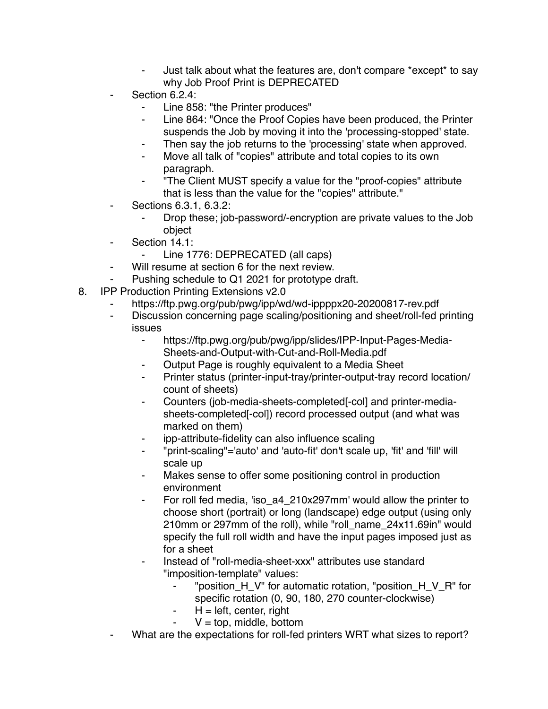- Just talk about what the features are, don't compare \*except\* to say why Job Proof Print is DEPRECATED
- Section 6.2.4:
	- Line 858: "the Printer produces"
	- ⁃ Line 864: "Once the Proof Copies have been produced, the Printer suspends the Job by moving it into the 'processing-stopped' state.
	- Then say the job returns to the 'processing' state when approved.
	- Move all talk of "copies" attribute and total copies to its own paragraph.
	- ⁃ "The Client MUST specify a value for the "proof-copies" attribute that is less than the value for the "copies" attribute."
- ⁃ Sections 6.3.1, 6.3.2:
	- Drop these; job-password/-encryption are private values to the Job object
- ⁃ Section 14.1:
	- Line 1776: DEPRECATED (all caps)
- Will resume at section 6 for the next review.
- Pushing schedule to Q1 2021 for prototype draft.
- 8. IPP Production Printing Extensions v2.0
	- https://ftp.pwg.org/pub/pwg/ipp/wd/wd-ippppx20-20200817-rev.pdf
	- ⁃ Discussion concerning page scaling/positioning and sheet/roll-fed printing issues
		- ⁃ https://ftp.pwg.org/pub/pwg/ipp/slides/IPP-Input-Pages-Media-Sheets-and-Output-with-Cut-and-Roll-Media.pdf
		- Output Page is roughly equivalent to a Media Sheet
		- Printer status (printer-input-tray/printer-output-tray record location/ count of sheets)
		- ⁃ Counters (job-media-sheets-completed[-col] and printer-mediasheets-completed[-col]) record processed output (and what was marked on them)
		- ipp-attribute-fidelity can also influence scaling
		- ⁃ "print-scaling"='auto' and 'auto-fit' don't scale up, 'fit' and 'fill' will scale up
		- Makes sense to offer some positioning control in production environment
		- For roll fed media, 'iso a4 210x297mm' would allow the printer to choose short (portrait) or long (landscape) edge output (using only 210mm or 297mm of the roll), while "roll\_name\_24x11.69in" would specify the full roll width and have the input pages imposed just as for a sheet
		- Instead of "roll-media-sheet-xxx" attributes use standard "imposition-template" values:
			- ⁃ "position\_H\_V" for automatic rotation, "position\_H\_V\_R" for specific rotation (0, 90, 180, 270 counter-clockwise)
			- $H = left$ , center, right
			- $V = top$ , middle, bottom
		- What are the expectations for roll-fed printers WRT what sizes to report?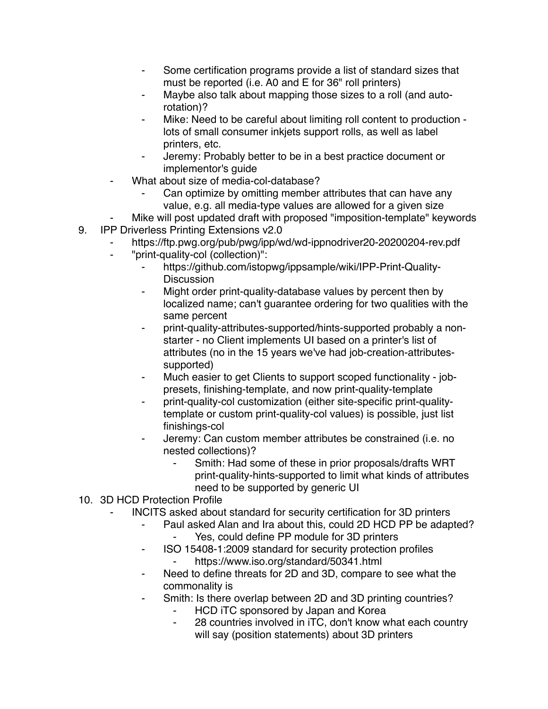- Some certification programs provide a list of standard sizes that must be reported (i.e. A0 and E for 36" roll printers)
- Maybe also talk about mapping those sizes to a roll (and autorotation)?
- Mike: Need to be careful about limiting roll content to production lots of small consumer inkjets support rolls, as well as label printers, etc.
- Jeremy: Probably better to be in a best practice document or implementor's guide
- What about size of media-col-database?
	- Can optimize by omitting member attributes that can have any value, e.g. all media-type values are allowed for a given size
- Mike will post updated draft with proposed "imposition-template" keywords
- 9. IPP Driverless Printing Extensions v2.0
	- https://ftp.pwg.org/pub/pwg/ipp/wd/wd-ippnodriver20-20200204-rev.pdf
	- ⁃ "print-quality-col (collection)":
		- ⁃ https://github.com/istopwg/ippsample/wiki/IPP-Print-Quality-**Discussion**
		- Might order print-quality-database values by percent then by localized name; can't guarantee ordering for two qualities with the same percent
		- ⁃ print-quality-attributes-supported/hints-supported probably a nonstarter - no Client implements UI based on a printer's list of attributes (no in the 15 years we've had job-creation-attributessupported)
		- Much easier to get Clients to support scoped functionality jobpresets, finishing-template, and now print-quality-template
		- print-quality-col customization (either site-specific print-qualitytemplate or custom print-quality-col values) is possible, just list finishings-col
		- Jeremy: Can custom member attributes be constrained (i.e. no nested collections)?
			- Smith: Had some of these in prior proposals/drafts WRT print-quality-hints-supported to limit what kinds of attributes need to be supported by generic UI
- 10. 3D HCD Protection Profile
	- INCITS asked about standard for security certification for 3D printers
		- Paul asked Alan and Ira about this, could 2D HCD PP be adapted? Yes, could define PP module for 3D printers
		- ⁃ ISO 15408-1:2009 standard for security protection profiles https://www.iso.org/standard/50341.html
		- ⁃ Need to define threats for 2D and 3D, compare to see what the commonality is
		- ⁃ Smith: Is there overlap between 2D and 3D printing countries?
			- HCD iTC sponsored by Japan and Korea
			- 28 countries involved in iTC, don't know what each country will say (position statements) about 3D printers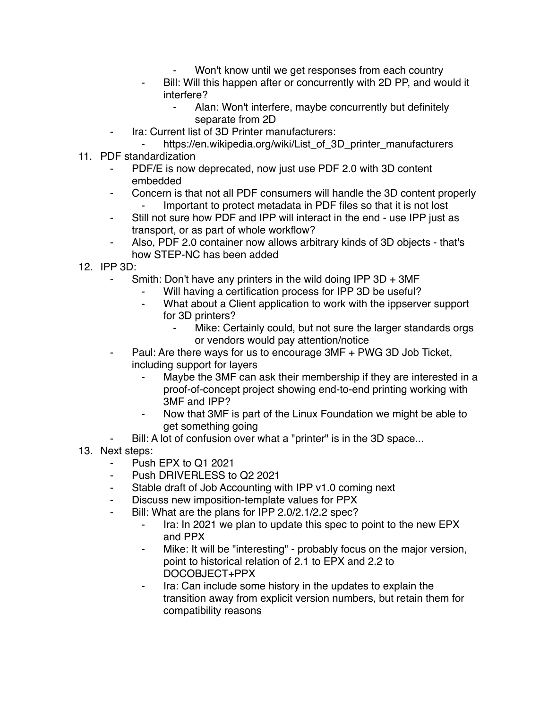- Won't know until we get responses from each country
- Bill: Will this happen after or concurrently with 2D PP, and would it interfere?
	- ⁃ Alan: Won't interfere, maybe concurrently but definitely separate from 2D
- Ira: Current list of 3D Printer manufacturers:
- https://en.wikipedia.org/wiki/List\_of\_3D\_printer\_manufacturers
- 11. PDF standardization
	- PDF/E is now deprecated, now just use PDF 2.0 with 3D content embedded
	- Concern is that not all PDF consumers will handle the 3D content properly Important to protect metadata in PDF files so that it is not lost
	- ⁃ Still not sure how PDF and IPP will interact in the end use IPP just as transport, or as part of whole workflow?
	- Also, PDF 2.0 container now allows arbitrary kinds of 3D objects that's how STEP-NC has been added
- 12. IPP 3D:
	- Smith: Don't have any printers in the wild doing IPP  $3D + 3MF$ 
		- Will having a certification process for IPP 3D be useful?
		- ⁃ What about a Client application to work with the ippserver support for 3D printers?
			- ⁃ Mike: Certainly could, but not sure the larger standards orgs or vendors would pay attention/notice
	- Paul: Are there ways for us to encourage 3MF + PWG 3D Job Ticket, including support for layers
		- Maybe the 3MF can ask their membership if they are interested in a proof-of-concept project showing end-to-end printing working with 3MF and IPP?
		- Now that 3MF is part of the Linux Foundation we might be able to get something going
	- Bill: A lot of confusion over what a "printer" is in the 3D space...
- 13. Next steps:
	- Push EPX to Q1 2021
	- Push DRIVERLESS to Q2 2021
	- ⁃ Stable draft of Job Accounting with IPP v1.0 coming next
	- Discuss new imposition-template values for PPX
	- ⁃ Bill: What are the plans for IPP 2.0/2.1/2.2 spec?
		- ⁃ Ira: In 2021 we plan to update this spec to point to the new EPX and PPX
		- ⁃ Mike: It will be "interesting" probably focus on the major version, point to historical relation of 2.1 to EPX and 2.2 to DOCOBJECT+PPX
		- Ira: Can include some history in the updates to explain the transition away from explicit version numbers, but retain them for compatibility reasons